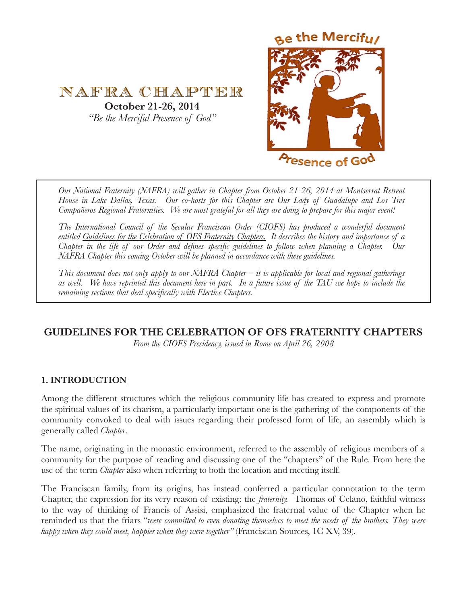



*Our National Fraternity (NAFRA) will gather in Chapter from October 21-26, 2014 at Montserrat Retreat House in Lake Dallas, Texas. Our co-hosts for this Chapter are Our Lady of Guadalupe and Los Tres Compañeros Regional Fraternities. We are most grateful for all they are doing to prepare for this major event!* 

*The International Council of the Secular Franciscan Order (CIOFS) has produced a wonderful document entitled Guidelines for the Celebration of OFS Fraternity Chapters. It describes the history and importance of a Chapter in the life of our Order and defines specific guidelines to follow when planning a Chapter. Our NAFRA Chapter this coming October will be planned in accordance with these guidelines.* 

*This document does not only apply to our NAFRA Chapter – it is applicable for local and regional gatherings as well. We have reprinted this document here in part. In a future issue of the TAU we hope to include the remaining sections that deal specifically with Elective Chapters.* 

# **GUIDELINES FOR THE CELEBRATION OF OFS FRATERNITY CHAPTERS**

*From the CIOFS Presidency, issued in Rome on April 26, 2008*

## **1. INTRODUCTION**

Among the different structures which the religious community life has created to express and promote the spiritual values of its charism, a particularly important one is the gathering of the components of the community convoked to deal with issues regarding their professed form of life, an assembly which is generally called *Chapter*.

The name, originating in the monastic environment, referred to the assembly of religious members of a community for the purpose of reading and discussing one of the "chapters" of the Rule. From here the use of the term *Chapter* also when referring to both the location and meeting itself.

The Franciscan family, from its origins, has instead conferred a particular connotation to the term Chapter, the expression for its very reason of existing: the *fraternity.* Thomas of Celano, faithful witness to the way of thinking of Francis of Assisi, emphasized the fraternal value of the Chapter when he reminded us that the friars "*were committed to even donating themselves to meet the needs of the brothers. They were happy when they could meet, happier when they were together"* (Franciscan Sources, 1C XV, 39).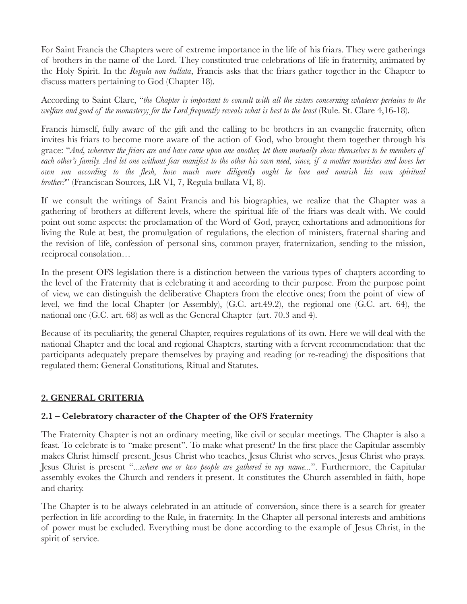For Saint Francis the Chapters were of extreme importance in the life of his friars. They were gatherings of brothers in the name of the Lord. They constituted true celebrations of life in fraternity, animated by the Holy Spirit. In the *Regula non bullata*, Francis asks that the friars gather together in the Chapter to discuss matters pertaining to God (Chapter 18).

According to Saint Clare, "*the Chapter is important to consult with all the sisters concerning whatever pertains to the welfare and good of the monastery; for the Lord frequently reveals what is best to the least* (Rule. St. Clare 4,16-18).

Francis himself, fully aware of the gift and the calling to be brothers in an evangelic fraternity, often invites his friars to become more aware of the action of God, who brought them together through his grace: "*And, wherever the friars are and have come upon one another, let them mutually show themselves to be members of*  each other's family. And let one without fear manifest to the other his own need, since, if a mother nourishes and loves her *own son according to the flesh, how much more diligently ought he love and nourish his own spiritual brother?*" (Franciscan Sources, LR VI, 7, Regula bullata VI, 8).

If we consult the writings of Saint Francis and his biographies, we realize that the Chapter was a gathering of brothers at different levels, where the spiritual life of the friars was dealt with. We could point out some aspects: the proclamation of the Word of God, prayer, exhortations and admonitions for living the Rule at best, the promulgation of regulations, the election of ministers, fraternal sharing and the revision of life, confession of personal sins, common prayer, fraternization, sending to the mission, reciprocal consolation…

In the present OFS legislation there is a distinction between the various types of chapters according to the level of the Fraternity that is celebrating it and according to their purpose. From the purpose point of view, we can distinguish the deliberative Chapters from the elective ones; from the point of view of level, we find the local Chapter (or Assembly), (G.C. art.49.2), the regional one (G.C. art. 64), the national one (G.C. art. 68) as well as the General Chapter (art. 70.3 and 4).

Because of its peculiarity, the general Chapter, requires regulations of its own. Here we will deal with the national Chapter and the local and regional Chapters, starting with a fervent recommendation: that the participants adequately prepare themselves by praying and reading (or re-reading) the dispositions that regulated them: General Constitutions, Ritual and Statutes.

## **2. GENERAL CRITERIA**

# **2.1 – Celebratory character of the Chapter of the OFS Fraternity**

The Fraternity Chapter is not an ordinary meeting, like civil or secular meetings. The Chapter is also a feast. To celebrate is to "make present". To make what present? In the first place the Capitular assembly makes Christ himself present. Jesus Christ who teaches, Jesus Christ who serves, Jesus Christ who prays. Jesus Christ is present "...*where one or two people are gathered in my name...*". Furthermore, the Capitular assembly evokes the Church and renders it present. It constitutes the Church assembled in faith, hope and charity.

The Chapter is to be always celebrated in an attitude of conversion, since there is a search for greater perfection in life according to the Rule, in fraternity. In the Chapter all personal interests and ambitions of power must be excluded. Everything must be done according to the example of Jesus Christ, in the spirit of service.